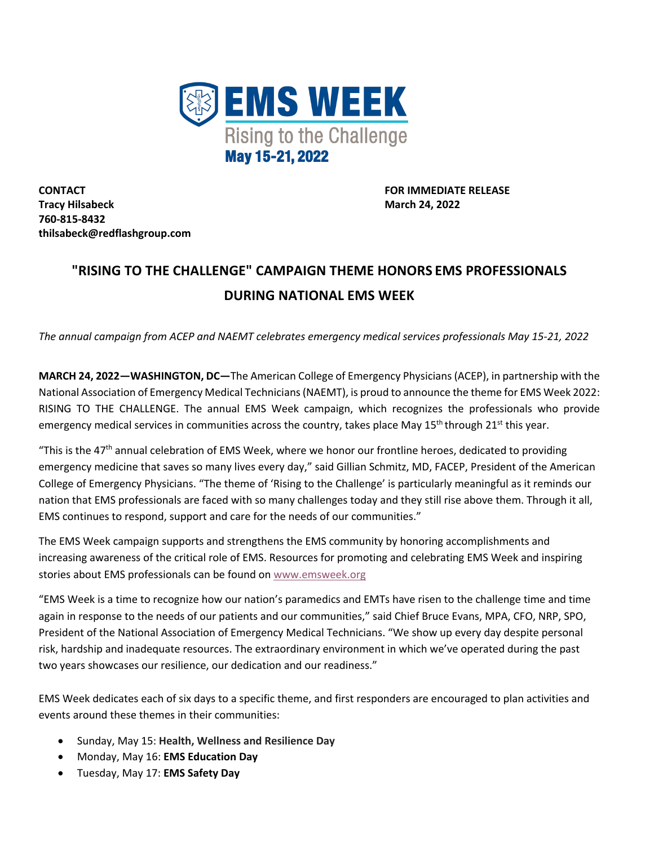

**CONTACT FOR IMMEDIATE RELEASE Tracy Hilsabeck March 24, 2022 760-815-8432 thilsabeck@redflashgroup.com**

## **"RISING TO THE CHALLENGE" CAMPAIGN THEME HONORS EMS PROFESSIONALS DURING NATIONAL EMS WEEK**

*The annual campaign from ACEP and NAEMT celebrates emergency medical services professionals May 15-21, 2022*

**MARCH 24, 2022—WASHINGTON, DC—**The American College of Emergency Physicians (ACEP), in partnership with the National Association of Emergency Medical Technicians (NAEMT), is proud to announce the theme for EMS Week 2022: RISING TO THE CHALLENGE. The annual EMS Week campaign, which recognizes the professionals who provide emergency medical services in communities across the country, takes place May  $15^{th}$  through  $21^{st}$  this year.

"This is the 47<sup>th</sup> annual celebration of EMS Week, where we honor our frontline heroes, dedicated to providing emergency medicine that saves so many lives every day," said Gillian Schmitz, MD, FACEP, President of the American College of Emergency Physicians. "The theme of 'Rising to the Challenge' is particularly meaningful as it reminds our nation that EMS professionals are faced with so many challenges today and they still rise above them. Through it all, EMS continues to respond, support and care for the needs of our communities."

The EMS Week campaign supports and strengthens the EMS community by honoring accomplishments and increasing awareness of the critical role of EMS. Resources for promoting and celebrating EMS Week and inspiring stories about EMS professionals can be found on www.emsweek.org

"EMS Week is a time to recognize how our nation's paramedics and EMTs have risen to the challenge time and time again in response to the needs of our patients and our communities," said Chief Bruce Evans, MPA, CFO, NRP, SPO, President of the National Association of Emergency Medical Technicians. "We show up every day despite personal risk, hardship and inadequate resources. The extraordinary environment in which we've operated during the past two years showcases our resilience, our dedication and our readiness."

EMS Week dedicates each of six days to a specific theme, and first responders are encouraged to plan activities and events around these themes in their communities:

- Sunday, May 15: **Health, Wellness and Resilience Day**
- Monday, May 16: **EMS Education Day**
- Tuesday, May 17: **EMS Safety Day**